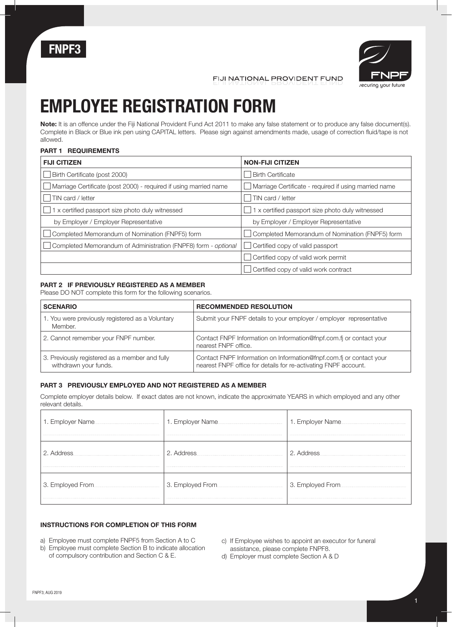



FIJI NATIONAL PROVIDENT FUND

## **EMPLOYEE REGISTRATION FORM**

**Note:** It is an offence under the Fiji National Provident Fund Act 2011 to make any false statement or to produce any false document(s). Complete in Black or Blue ink pen using CAPITAL letters. Please sign against amendments made, usage of correction fluid/tape is not allowed.

#### **PART 1 REQUIREMENTS**

| <b>FIJI CITIZEN</b>                                               | <b>NON-FIJI CITIZEN</b>                               |
|-------------------------------------------------------------------|-------------------------------------------------------|
| Birth Certificate (post 2000)                                     | <b>Birth Certificate</b>                              |
| Marriage Certificate (post 2000) - required if using married name | Marriage Certificate - required if using married name |
| TIN card / letter                                                 | TIN card / letter                                     |
| 1 x certified passport size photo duly witnessed                  | 1 x certified passport size photo duly witnessed      |
| by Employer / Employer Representative                             | by Employer / Employer Representative                 |
| Completed Memorandum of Nomination (FNPF5) form                   | Completed Memorandum of Nomination (FNPF5) form       |
| Completed Memorandum of Administration (FNPF8) form - optional    | Certified copy of valid passport                      |
|                                                                   | Certified copy of valid work permit                   |
|                                                                   | Certified copy of valid work contract                 |

### **PART 2 IF PREVIOUSLY REGISTERED AS A MEMBER**

Please DO NOT complete this form for the following scenarios.

| <b>SCENARIO</b>                                                         | <b>RECOMMENDED RESOLUTION</b>                                                                                                          |
|-------------------------------------------------------------------------|----------------------------------------------------------------------------------------------------------------------------------------|
| 1. You were previously registered as a Voluntary<br>Member.             | Submit your FNPF details to your employer / employer representative                                                                    |
| 2. Cannot remember your FNPF number.                                    | Contact FNPF Information on Information@fnpf.com.fi or contact your<br>nearest FNPF office.                                            |
| 3. Previously registered as a member and fully<br>withdrawn your funds. | Contact FNPF Information on Information@fnpf.com.fi or contact your<br>nearest FNPF office for details for re-activating FNPF account. |

#### **PART 3 PREVIOUSLY EMPLOYED AND NOT REGISTERED AS A MEMBER**

Complete employer details below. If exact dates are not known, indicate the approximate YEARS in which employed and any other relevant details.

| 1. Employer Name. | 1. Employer Name  | 1. Employer Name. |
|-------------------|-------------------|-------------------|
|                   | 2. Address        | 2. Address        |
|                   | 3. Employed From. |                   |

#### **INSTRUCTIONS FOR COMPLETION OF THIS FORM**

- a) Employee must complete FNPF5 from Section A to C
- b) Employee must complete Section B to indicate allocation of compulsory contribution and Section C & E.
- c) If Employee wishes to appoint an executor for funeral assistance, please complete FNPF8.
- d) Employer must complete Section A & D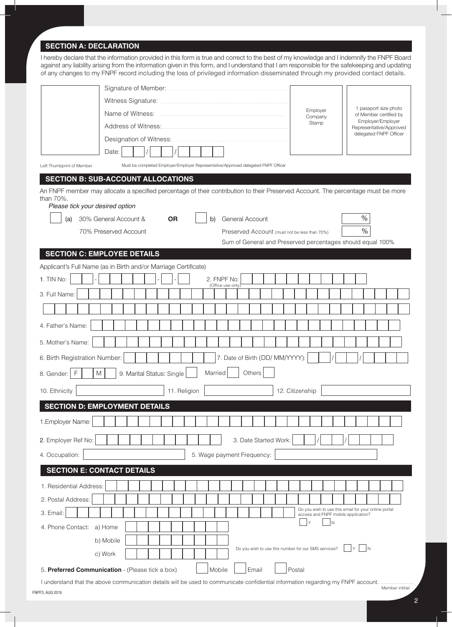### **SECTION A: DECLARATION**

I hereby declare that the information provided in this form is true and correct to the best of my knowledge and I indemnify the FNPF Board against any liability arising from the information given in this form, and I understand that I am responsible for the safekeeping and updating of any changes to my FNPF record including the loss of privileged information disseminated through my provided contact details.

| Name of Witness:                                                                                                                                                                     | Employer<br>Company                 | 1 passport size photo<br>of Member certified by      |
|--------------------------------------------------------------------------------------------------------------------------------------------------------------------------------------|-------------------------------------|------------------------------------------------------|
| Address of Witness:                                                                                                                                                                  | Stamp                               | Employer/Employer<br>Representative/Approved         |
| Designation of Witness:                                                                                                                                                              |                                     | delegated FNPF Officer                               |
| Date:                                                                                                                                                                                |                                     |                                                      |
| Must be completed Employer/Employer Representative/Approved delegated FNPF Officer<br>Left Thumbprint of Member                                                                      |                                     |                                                      |
| <b>SECTION B: SUB-ACCOUNT ALLOCATIONS</b>                                                                                                                                            |                                     |                                                      |
| An FNPF member may allocate a specified percentage of their contribution to their Preserved Account. The percentage must be more<br>than $70\%$ .<br>Please tick your desired option |                                     |                                                      |
| 30% General Account &<br>General Account<br>(a)<br>0R<br>b)                                                                                                                          |                                     | $\%$                                                 |
| 70% Preserved Account<br>Preserved Account (must not be less than 70%)                                                                                                               |                                     | $\%$                                                 |
| Sum of General and Preserved percentages should equal 100%                                                                                                                           |                                     |                                                      |
| <b>SECTION C: EMPLOYEE DETAILS</b>                                                                                                                                                   |                                     |                                                      |
| Applicant's Full Name (as in Birth and/or Marriage Certificate)                                                                                                                      |                                     |                                                      |
| 1. TIN No:<br>2. FNPF No:<br>(Office use only)                                                                                                                                       |                                     |                                                      |
| 3. Full Name:                                                                                                                                                                        |                                     |                                                      |
|                                                                                                                                                                                      |                                     |                                                      |
| 4. Father's Name:                                                                                                                                                                    |                                     |                                                      |
| 5. Mother's Name:                                                                                                                                                                    |                                     |                                                      |
| 7. Date of Birth (DD/ MM/YYYY):<br>6. Birth Registration Number:                                                                                                                     |                                     |                                                      |
| Others<br>F<br>M<br>Married<br>9. Marital Status: Single<br>8. Gender:                                                                                                               |                                     |                                                      |
| 10. Ethnicity<br>11. Religion                                                                                                                                                        | 12. Citizenship                     |                                                      |
| <b>SECTION D: EMPLOYMENT DETAILS</b>                                                                                                                                                 |                                     |                                                      |
| 1. Employer Name:                                                                                                                                                                    |                                     |                                                      |
| 3. Date Started Work:<br>2. Employer Ref No:                                                                                                                                         |                                     |                                                      |
| 5. Wage payment Frequency:<br>4. Occupation:                                                                                                                                         |                                     |                                                      |
| <b>SECTION E: CONTACT DETAILS</b>                                                                                                                                                    |                                     |                                                      |
| 1. Residential Address:                                                                                                                                                              |                                     |                                                      |
| 2. Postal Address:                                                                                                                                                                   |                                     |                                                      |
| 3. Email:                                                                                                                                                                            | access and FNPF mobile application? | Do you wish to use this email for your online portal |
| 4. Phone Contact:<br>a) Home                                                                                                                                                         | IN.                                 |                                                      |
| b) Mobile                                                                                                                                                                            |                                     |                                                      |
| Do you wish to use this number for our SMS services?<br>c) Work                                                                                                                      |                                     | İΝ<br>Υ                                              |
| 5. Preferred Communication - (Please tick a box)<br>Mobile<br>Email                                                                                                                  | Postal                              |                                                      |

FNPF3; AUG 2019 I understand that the above communication details will be used to communicate confidential information regarding my FNPF account. Member intitial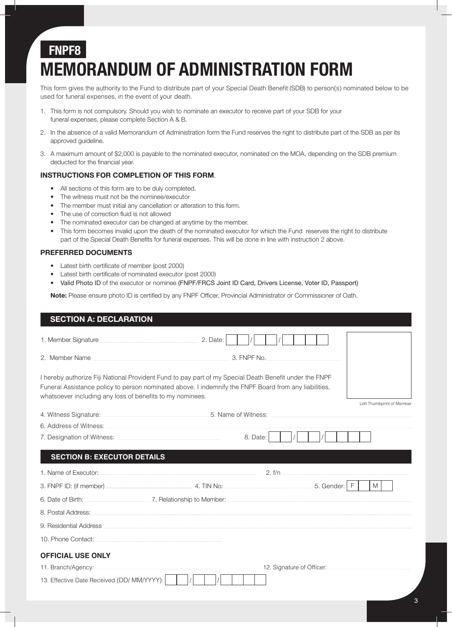# **FNPF8 MEMORANDUM OF ADMINISTRATION FORM**

This form gives the authority to the Fund to distribute part of your Special Death Benefit (SDB) to person(s) nominated below to be used for funeral expenses, in the event of your death.

- 1. This form is not compulsory. Should you wish to nominate an executor to receive part of your SDB for your funeral expenses, please complete Section A & B.
- 2. In the absence of a valid Memorandum of Administration form the Fund reserves the right to distribute part of the SDB as per its approved guideline.
- 3. A maximum amount of \$2,000 is payable to the nominated executor, nominated on the MOA, depending on the SDB premium deducted for the financial year.

### **INSTRUCTIONS FOR COMPLETION OF THIS FORM**.

- All sections of this form are to be duly completed.
- The witness must not be the nominee/executor
- The member must initial any cancellation or alteration to this form.
- The use of correction fluid is not allowed
- The nominated executor can be changed at anytime by the member.
- This form becomes invalid upon the death of the nominated executor for which the Fund reserves the right to distribute part of the Special Death Benefits for funeral expenses. This will be done in line with instruction 2 above.

### **PREFERRED DOCUMENTS**

- Latest birth certificate of member (post 2000)
- Latest birth certificate of nominated executor (post 2000)
- Valid Photo ID of the executor or nominee (FNPF/FRCS Joint ID Card, Drivers License, Voter ID, Passport)

**Note:** Please ensure photo ID is certified by any FNPF Officer, Provincial Administrator or Commissioner of Oath.

| <b>SECTION A: DECLARATION</b>                                              |                                                                                                                                                                                                                 |                           |
|----------------------------------------------------------------------------|-----------------------------------------------------------------------------------------------------------------------------------------------------------------------------------------------------------------|---------------------------|
| 1. Member Signature <b>Manual According to According Contract</b> 2. Date: |                                                                                                                                                                                                                 |                           |
|                                                                            |                                                                                                                                                                                                                 |                           |
| whatsoever including any loss of benefits to my nominees.                  | I hereby authorize Fiji National Provident Fund to pay part of my Special Death Benefit under the FNPF<br>Funeral Assistance policy to person nominated above. I indemnify the FNPF Board from any liabilities, | Left Thumbprint of Member |
|                                                                            | 4. Witness Signature: <b>Market A. Witness Signature:</b> Market A. Witness: <b>Market A. Witness Signature:</b> Witness: 2004                                                                                  |                           |
|                                                                            |                                                                                                                                                                                                                 |                           |
|                                                                            | 8. Date:                                                                                                                                                                                                        |                           |
| <b>SECTION B: EXECUTOR DETAILS</b>                                         |                                                                                                                                                                                                                 |                           |
|                                                                            |                                                                                                                                                                                                                 | 2. f/n                    |
|                                                                            |                                                                                                                                                                                                                 | M I                       |
|                                                                            |                                                                                                                                                                                                                 |                           |
|                                                                            |                                                                                                                                                                                                                 |                           |
|                                                                            |                                                                                                                                                                                                                 |                           |
|                                                                            |                                                                                                                                                                                                                 |                           |
| <b>OFFICIAL USE ONLY</b>                                                   |                                                                                                                                                                                                                 |                           |
|                                                                            |                                                                                                                                                                                                                 |                           |
| 13. Effective Date Received (DD/ MM/YYYY):                                 |                                                                                                                                                                                                                 |                           |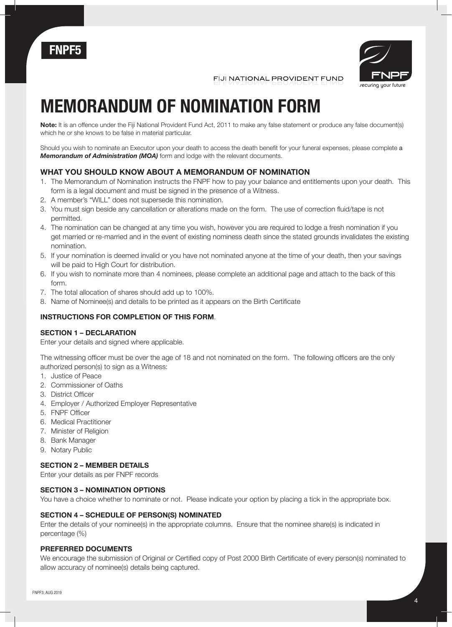



FIJI NATIONAL PROVIDENT FUND

# **MEMORANDUM OF NOMINATION FORM**

**Note:** It is an offence under the Fiji National Provident Fund Act, 2011 to make any false statement or produce any false document(s) which he or she knows to be false in material particular.

Should you wish to nominate an Executor upon your death to access the death benefit for your funeral expenses, please complete a *Memorandum of Administration (MOA)* form and lodge with the relevant documents.

### **WHAT YOU SHOULD KNOW ABOUT A MEMORANDUM OF NOMINATION**

- 1. The Memorandum of Nomination instructs the FNPF how to pay your balance and entitlements upon your death. This form is a legal document and must be signed in the presence of a Witness.
- 2. A member's "WILL" does not supersede this nomination.
- 3. You must sign beside any cancellation or alterations made on the form. The use of correction fluid/tape is not permitted.
- 4. The nomination can be changed at any time you wish, however you are required to lodge a fresh nomination if you get married or re-married and in the event of existing nominess death since the stated grounds invalidates the existing nomination.
- 5. If your nomination is deemed invalid or you have not nominated anyone at the time of your death, then your savings will be paid to High Court for distribution.
- 6. If you wish to nominate more than 4 nominees, please complete an additional page and attach to the back of this form.
- 7. The total allocation of shares should add up to 100%.
- 8. Name of Nominee(s) and details to be printed as it appears on the Birth Certificate

### **INSTRUCTIONS FOR COMPLETION OF THIS FORM**.

### **SECTION 1 – DECLARATION**

Enter your details and signed where applicable.

The witnessing officer must be over the age of 18 and not nominated on the form. The following officers are the only authorized person(s) to sign as a Witness:

- 1. Justice of Peace
- 2. Commissioner of Oaths
- 3. District Officer
- 4. Employer / Authorized Employer Representative
- 5. FNPF Officer
- 6. Medical Practitioner
- 7. Minister of Religion
- 8. Bank Manager
- 9. Notary Public

### **SECTION 2 – MEMBER DETAILS**

Enter your details as per FNPF records

### **SECTION 3 – NOMINATION OPTIONS**

You have a choice whether to nominate or not. Please indicate your option by placing a tick in the appropriate box.

### **SECTION 4 – SCHEDULE OF PERSON(S) NOMINATED**

Enter the details of your nominee(s) in the appropriate columns. Ensure that the nominee share(s) is indicated in percentage (%)

### **PREFERRED DOCUMENTS**

We encourage the submission of Original or Certified copy of Post 2000 Birth Certificate of every person(s) nominated to allow accuracy of nominee(s) details being captured.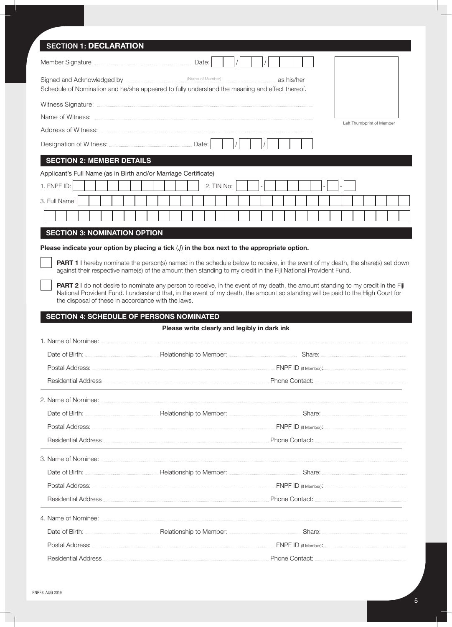| <b>SECTION 1: DECLARATION</b>                                                                              |                                                                                                                                                                                                                                                               |                           |
|------------------------------------------------------------------------------------------------------------|---------------------------------------------------------------------------------------------------------------------------------------------------------------------------------------------------------------------------------------------------------------|---------------------------|
| Member Signature <b>Marine According to the Signature</b> Date:                                            |                                                                                                                                                                                                                                                               |                           |
| Schedule of Nomination and he/she appeared to fully understand the meaning and effect thereof.             | as his/her                                                                                                                                                                                                                                                    |                           |
|                                                                                                            |                                                                                                                                                                                                                                                               |                           |
|                                                                                                            |                                                                                                                                                                                                                                                               | Left Thumborint of Member |
|                                                                                                            |                                                                                                                                                                                                                                                               |                           |
|                                                                                                            |                                                                                                                                                                                                                                                               |                           |
| <b>SECTION 2: MEMBER DETAILS</b>                                                                           |                                                                                                                                                                                                                                                               |                           |
| Applicant's Full Name (as in Birth and/or Marriage Certificate)                                            |                                                                                                                                                                                                                                                               |                           |
| 1. FNPF ID:                                                                                                | 2. TIN No:                                                                                                                                                                                                                                                    |                           |
| 3. Full Name:                                                                                              |                                                                                                                                                                                                                                                               |                           |
|                                                                                                            |                                                                                                                                                                                                                                                               |                           |
| <b>SECTION 3: NOMINATION OPTION</b>                                                                        |                                                                                                                                                                                                                                                               |                           |
| Please indicate your option by placing a tick $\langle \rangle$ in the box next to the appropriate option. |                                                                                                                                                                                                                                                               |                           |
|                                                                                                            | PART 1 I hereby nominate the person(s) named in the schedule below to receive, in the event of my death, the share(s) set down<br>against their respective name(s) of the amount then standing to my credit in the Fiji National Provident Fund.              |                           |
|                                                                                                            | <b>PART 2</b> I do not desire to nominate any person to receive, in the event of my death, the amount standing to my credit in the Fiji                                                                                                                       |                           |
| the disposal of these in accordance with the laws.                                                         | National Provident Fund. I understand that, in the event of my death, the amount so standing will be paid to the High Court for                                                                                                                               |                           |
|                                                                                                            |                                                                                                                                                                                                                                                               |                           |
|                                                                                                            |                                                                                                                                                                                                                                                               |                           |
| <b>SECTION 4: SCHEDULE OF PERSONS NOMINATED</b>                                                            | Please write clearly and legibly in dark ink                                                                                                                                                                                                                  |                           |
| 1. Name of Nominee:                                                                                        |                                                                                                                                                                                                                                                               |                           |
|                                                                                                            | Date of Birth: <b>Maria According to Member: According to Member:</b> Share: <b>Share: According to Member:</b> 2014                                                                                                                                          |                           |
|                                                                                                            |                                                                                                                                                                                                                                                               |                           |
|                                                                                                            | Residential Address <b>Contract Contract Contract Contract Contract</b> Phone Contact:                                                                                                                                                                        |                           |
|                                                                                                            |                                                                                                                                                                                                                                                               |                           |
|                                                                                                            |                                                                                                                                                                                                                                                               |                           |
|                                                                                                            |                                                                                                                                                                                                                                                               |                           |
|                                                                                                            | Residential Address <b>Exercise Contact:</b> Phone Contact: <b>Contact:</b> 2014                                                                                                                                                                              |                           |
|                                                                                                            |                                                                                                                                                                                                                                                               |                           |
|                                                                                                            |                                                                                                                                                                                                                                                               |                           |
|                                                                                                            |                                                                                                                                                                                                                                                               |                           |
|                                                                                                            | Residential Address <b>Executive Contact:</b> Phone Contact: <b>Contact:</b> Phone Contact: <b>Contact:</b> Phone Contact: <b>CONSIDENTIAL PHONE CONTACT:</b> Phone Contact: <b>CONSIDENTIAL PHONE CONTACT:</b> Phone Contact: <b>CONSIDENTIAL PHONE CONT</b> |                           |
|                                                                                                            |                                                                                                                                                                                                                                                               |                           |
|                                                                                                            |                                                                                                                                                                                                                                                               |                           |
|                                                                                                            |                                                                                                                                                                                                                                                               |                           |

Ш

ı.